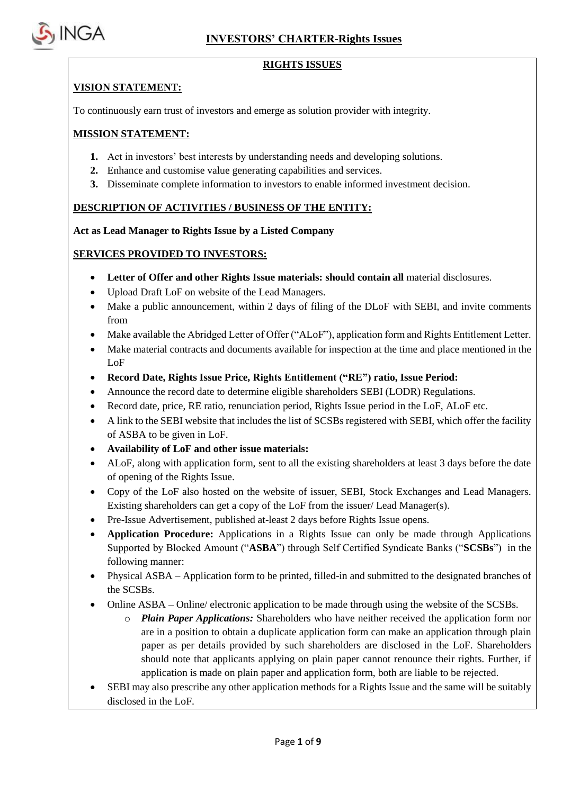

### **RIGHTS ISSUES**

### **VISION STATEMENT:**

To continuously earn trust of investors and emerge as solution provider with integrity.

### **MISSION STATEMENT:**

- **1.** Act in investors' best interests by understanding needs and developing solutions.
- **2.** Enhance and customise value generating capabilities and services.
- **3.** Disseminate complete information to investors to enable informed investment decision.

### **DESCRIPTION OF ACTIVITIES / BUSINESS OF THE ENTITY:**

**Act as Lead Manager to Rights Issue by a Listed Company**

### **SERVICES PROVIDED TO INVESTORS:**

- **Letter of Offer and other Rights Issue materials: should contain all** material disclosures.
- Upload Draft LoF on website of the Lead Managers.
- Make a public announcement, within 2 days of filing of the DLoF with SEBI, and invite comments from
- Make available the Abridged Letter of Offer ("ALoF"), application form and Rights Entitlement Letter.
- Make material contracts and documents available for inspection at the time and place mentioned in the LoF
- **Record Date, Rights Issue Price, Rights Entitlement ("RE") ratio, Issue Period:**
- Announce the record date to determine eligible shareholders SEBI (LODR) Regulations.
- Record date, price, RE ratio, renunciation period, Rights Issue period in the LoF, ALoF etc.
- A link to the SEBI website that includes the list of SCSBs registered with SEBI, which offer the facility of ASBA to be given in LoF.
- **Availability of LoF and other issue materials:**
- ALoF, along with application form, sent to all the existing shareholders at least 3 days before the date of opening of the Rights Issue.
- Copy of the LoF also hosted on the website of issuer, SEBI, Stock Exchanges and Lead Managers. Existing shareholders can get a copy of the LoF from the issuer/ Lead Manager(s).
- Pre-Issue Advertisement, published at-least 2 days before Rights Issue opens.
- **Application Procedure:** Applications in a Rights Issue can only be made through Applications Supported by Blocked Amount ("**ASBA**") through Self Certified Syndicate Banks ("**SCSBs**") in the following manner:
- Physical ASBA Application form to be printed, filled-in and submitted to the designated branches of the SCSBs.
- Online ASBA Online/ electronic application to be made through using the website of the SCSBs.
	- o *Plain Paper Applications:* Shareholders who have neither received the application form nor are in a position to obtain a duplicate application form can make an application through plain paper as per details provided by such shareholders are disclosed in the LoF. Shareholders should note that applicants applying on plain paper cannot renounce their rights. Further, if application is made on plain paper and application form, both are liable to be rejected.
- SEBI may also prescribe any other application methods for a Rights Issue and the same will be suitably disclosed in the LoF.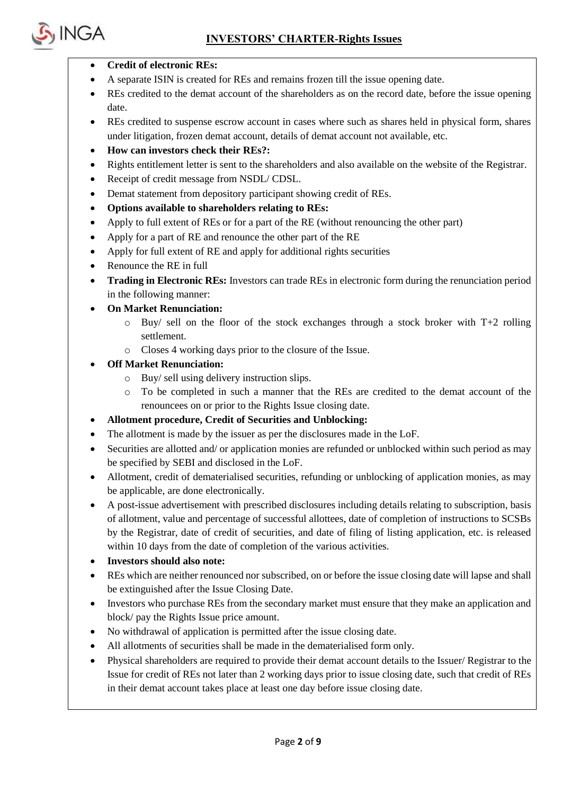

- **Credit of electronic REs:**
- A separate ISIN is created for REs and remains frozen till the issue opening date.
- REs credited to the demat account of the shareholders as on the record date, before the issue opening date.
- REs credited to suspense escrow account in cases where such as shares held in physical form, shares under litigation, frozen demat account, details of demat account not available, etc.
- **How can investors check their REs?:**
- Rights entitlement letter is sent to the shareholders and also available on the website of the Registrar.
- Receipt of credit message from NSDL/ CDSL.
- Demat statement from depository participant showing credit of REs.
- **Options available to shareholders relating to REs:**
- Apply to full extent of REs or for a part of the RE (without renouncing the other part)
- Apply for a part of RE and renounce the other part of the RE
- Apply for full extent of RE and apply for additional rights securities
- Renounce the RE in full
- **Trading in Electronic REs:** Investors can trade REs in electronic form during the renunciation period in the following manner:
- **On Market Renunciation:**
	- o Buy/ sell on the floor of the stock exchanges through a stock broker with T+2 rolling settlement.
	- o Closes 4 working days prior to the closure of the Issue.
- **Off Market Renunciation:**
	- o Buy/ sell using delivery instruction slips.
	- o To be completed in such a manner that the REs are credited to the demat account of the renouncees on or prior to the Rights Issue closing date.
- **Allotment procedure, Credit of Securities and Unblocking:**
- The allotment is made by the issuer as per the disclosures made in the LoF.
- Securities are allotted and/ or application monies are refunded or unblocked within such period as may be specified by SEBI and disclosed in the LoF.
- Allotment, credit of dematerialised securities, refunding or unblocking of application monies, as may be applicable, are done electronically.
- A post-issue advertisement with prescribed disclosures including details relating to subscription, basis of allotment, value and percentage of successful allottees, date of completion of instructions to SCSBs by the Registrar, date of credit of securities, and date of filing of listing application, etc. is released within 10 days from the date of completion of the various activities.
- **Investors should also note:**
- REs which are neither renounced nor subscribed, on or before the issue closing date will lapse and shall be extinguished after the Issue Closing Date.
- Investors who purchase REs from the secondary market must ensure that they make an application and block/ pay the Rights Issue price amount.
- No withdrawal of application is permitted after the issue closing date.
- All allotments of securities shall be made in the dematerialised form only.
- Physical shareholders are required to provide their demat account details to the Issuer/ Registrar to the Issue for credit of REs not later than 2 working days prior to issue closing date, such that credit of REs in their demat account takes place at least one day before issue closing date.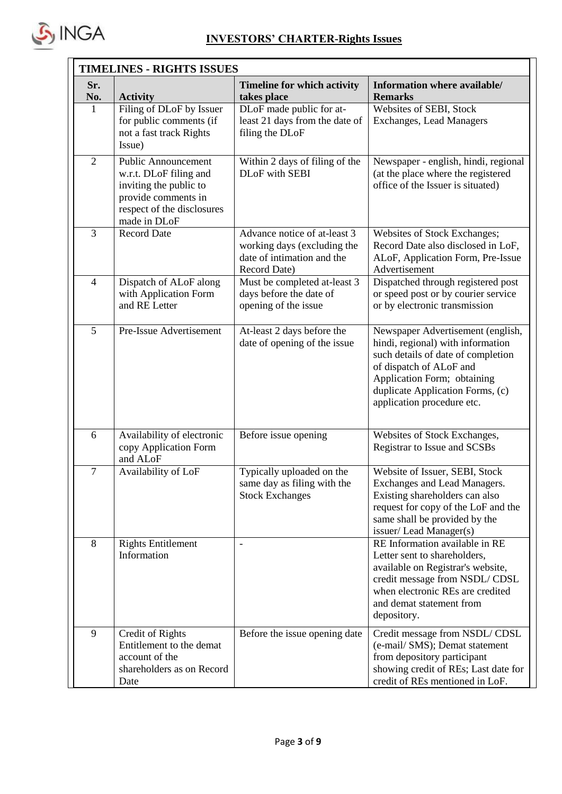

| <b>TIMELINES - RIGHTS ISSUES</b> |                                                                                                                                                     |                                                                                                           |                                                                                                                                                                                                                                          |  |  |
|----------------------------------|-----------------------------------------------------------------------------------------------------------------------------------------------------|-----------------------------------------------------------------------------------------------------------|------------------------------------------------------------------------------------------------------------------------------------------------------------------------------------------------------------------------------------------|--|--|
| Sr.<br>No.                       | <b>Activity</b>                                                                                                                                     | <b>Timeline for which activity</b><br>takes place                                                         | Information where available/<br><b>Remarks</b>                                                                                                                                                                                           |  |  |
| $\mathbf{1}$                     | Filing of DLoF by Issuer<br>for public comments (if<br>not a fast track Rights<br>Issue)                                                            | DLoF made public for at-<br>least 21 days from the date of<br>filing the DLoF                             | Websites of SEBI, Stock<br><b>Exchanges, Lead Managers</b>                                                                                                                                                                               |  |  |
| $\mathfrak{2}$                   | <b>Public Announcement</b><br>w.r.t. DLoF filing and<br>inviting the public to<br>provide comments in<br>respect of the disclosures<br>made in DLoF | Within 2 days of filing of the<br>DLoF with SEBI                                                          | Newspaper - english, hindi, regional<br>(at the place where the registered<br>office of the Issuer is situated)                                                                                                                          |  |  |
| 3                                | <b>Record Date</b>                                                                                                                                  | Advance notice of at-least 3<br>working days (excluding the<br>date of intimation and the<br>Record Date) | Websites of Stock Exchanges;<br>Record Date also disclosed in LoF,<br>ALoF, Application Form, Pre-Issue<br>Advertisement                                                                                                                 |  |  |
| $\overline{4}$                   | Dispatch of ALoF along<br>with Application Form<br>and RE Letter                                                                                    | Must be completed at-least 3<br>days before the date of<br>opening of the issue                           | Dispatched through registered post<br>or speed post or by courier service<br>or by electronic transmission                                                                                                                               |  |  |
| 5                                | Pre-Issue Advertisement                                                                                                                             | At-least 2 days before the<br>date of opening of the issue                                                | Newspaper Advertisement (english,<br>hindi, regional) with information<br>such details of date of completion<br>of dispatch of ALoF and<br>Application Form; obtaining<br>duplicate Application Forms, (c)<br>application procedure etc. |  |  |
| 6                                | Availability of electronic<br>copy Application Form<br>and ALoF                                                                                     | Before issue opening                                                                                      | Websites of Stock Exchanges,<br>Registrar to Issue and SCSBs                                                                                                                                                                             |  |  |
| $\tau$                           | Availability of LoF                                                                                                                                 | Typically uploaded on the<br>same day as filing with the<br><b>Stock Exchanges</b>                        | Website of Issuer, SEBI, Stock<br>Exchanges and Lead Managers.<br>Existing shareholders can also<br>request for copy of the LoF and the<br>same shall be provided by the<br>issuer/Lead Manager(s)                                       |  |  |
| 8                                | <b>Rights Entitlement</b><br>Information                                                                                                            | $\overline{\phantom{0}}$                                                                                  | RE Information available in RE<br>Letter sent to shareholders,<br>available on Registrar's website,<br>credit message from NSDL/CDSL<br>when electronic REs are credited<br>and demat statement from<br>depository.                      |  |  |
| 9                                | Credit of Rights<br>Entitlement to the demat<br>account of the<br>shareholders as on Record<br>Date                                                 | Before the issue opening date                                                                             | Credit message from NSDL/CDSL<br>(e-mail/SMS); Demat statement<br>from depository participant<br>showing credit of REs; Last date for<br>credit of REs mentioned in LoF.                                                                 |  |  |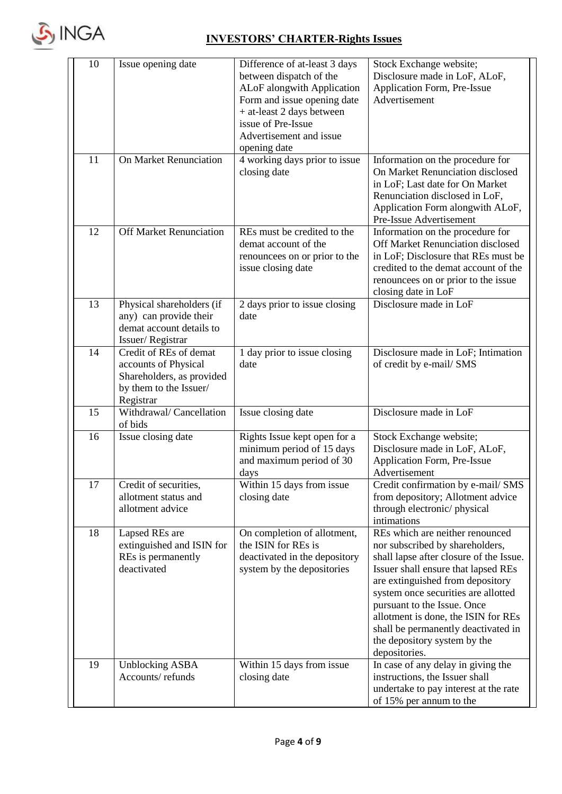

| 10 | Issue opening date                                                                                                 | Difference of at-least 3 days<br>between dispatch of the<br>ALoF alongwith Application<br>Form and issue opening date<br>+ at-least 2 days between<br>issue of Pre-Issue<br>Advertisement and issue<br>opening date | Stock Exchange website;<br>Disclosure made in LoF, ALoF,<br>Application Form, Pre-Issue<br>Advertisement                                                                                                                                                                                                                                                                                      |
|----|--------------------------------------------------------------------------------------------------------------------|---------------------------------------------------------------------------------------------------------------------------------------------------------------------------------------------------------------------|-----------------------------------------------------------------------------------------------------------------------------------------------------------------------------------------------------------------------------------------------------------------------------------------------------------------------------------------------------------------------------------------------|
| 11 | <b>On Market Renunciation</b>                                                                                      | 4 working days prior to issue<br>closing date                                                                                                                                                                       | Information on the procedure for<br>On Market Renunciation disclosed<br>in LoF; Last date for On Market<br>Renunciation disclosed in LoF,<br>Application Form alongwith ALoF,<br>Pre-Issue Advertisement                                                                                                                                                                                      |
| 12 | <b>Off Market Renunciation</b>                                                                                     | REs must be credited to the<br>demat account of the<br>renouncees on or prior to the<br>issue closing date                                                                                                          | Information on the procedure for<br>Off Market Renunciation disclosed<br>in LoF; Disclosure that REs must be<br>credited to the demat account of the<br>renouncees on or prior to the issue<br>closing date in LoF                                                                                                                                                                            |
| 13 | Physical shareholders (if<br>any) can provide their<br>demat account details to<br>Issuer/Registrar                | 2 days prior to issue closing<br>date                                                                                                                                                                               | Disclosure made in LoF                                                                                                                                                                                                                                                                                                                                                                        |
| 14 | Credit of REs of demat<br>accounts of Physical<br>Shareholders, as provided<br>by them to the Issuer/<br>Registrar | 1 day prior to issue closing<br>date                                                                                                                                                                                | Disclosure made in LoF; Intimation<br>of credit by e-mail/ SMS                                                                                                                                                                                                                                                                                                                                |
| 15 | Withdrawal/ Cancellation<br>of bids                                                                                | Issue closing date                                                                                                                                                                                                  | Disclosure made in LoF                                                                                                                                                                                                                                                                                                                                                                        |
| 16 | Issue closing date                                                                                                 | Rights Issue kept open for a<br>minimum period of 15 days<br>and maximum period of 30<br>days                                                                                                                       | Stock Exchange website;<br>Disclosure made in LoF, ALoF,<br>Application Form, Pre-Issue<br>Advertisement                                                                                                                                                                                                                                                                                      |
| 17 | Credit of securities,<br>allotment status and<br>allotment advice                                                  | Within 15 days from issue<br>closing date                                                                                                                                                                           | Credit confirmation by e-mail/ SMS<br>from depository; Allotment advice<br>through electronic/physical<br>intimations                                                                                                                                                                                                                                                                         |
| 18 | Lapsed REs are<br>extinguished and ISIN for<br>REs is permanently<br>deactivated                                   | On completion of allotment,<br>the ISIN for REs is<br>deactivated in the depository<br>system by the depositories                                                                                                   | REs which are neither renounced<br>nor subscribed by shareholders,<br>shall lapse after closure of the Issue.<br>Issuer shall ensure that lapsed REs<br>are extinguished from depository<br>system once securities are allotted<br>pursuant to the Issue. Once<br>allotment is done, the ISIN for REs<br>shall be permanently deactivated in<br>the depository system by the<br>depositories. |
| 19 | <b>Unblocking ASBA</b><br>Accounts/refunds                                                                         | Within 15 days from issue<br>closing date                                                                                                                                                                           | In case of any delay in giving the<br>instructions, the Issuer shall<br>undertake to pay interest at the rate<br>of 15% per annum to the                                                                                                                                                                                                                                                      |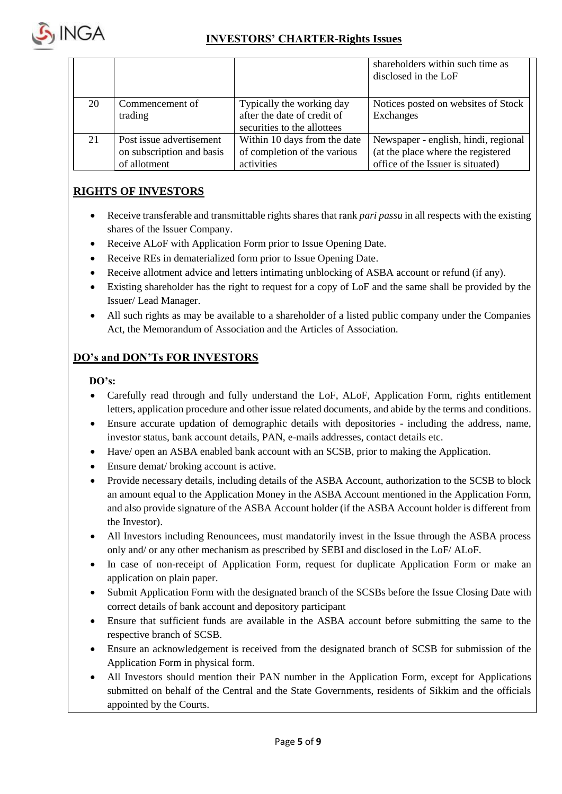

|    |                                                                       |                                                                                         | shareholders within such time as<br>disclosed in the LoF                                                        |
|----|-----------------------------------------------------------------------|-----------------------------------------------------------------------------------------|-----------------------------------------------------------------------------------------------------------------|
| 20 | Commencement of<br>trading                                            | Typically the working day<br>after the date of credit of<br>securities to the allottees | Notices posted on websites of Stock<br>Exchanges                                                                |
| 21 | Post issue advertisement<br>on subscription and basis<br>of allotment | Within 10 days from the date<br>of completion of the various<br>activities              | Newspaper - english, hindi, regional<br>(at the place where the registered<br>office of the Issuer is situated) |

## **RIGHTS OF INVESTORS**

- Receive transferable and transmittable rights shares that rank *pari passu* in all respects with the existing shares of the Issuer Company.
- Receive ALoF with Application Form prior to Issue Opening Date.
- Receive REs in dematerialized form prior to Issue Opening Date.
- Receive allotment advice and letters intimating unblocking of ASBA account or refund (if any).
- Existing shareholder has the right to request for a copy of LoF and the same shall be provided by the Issuer/ Lead Manager.
- All such rights as may be available to a shareholder of a listed public company under the Companies Act, the Memorandum of Association and the Articles of Association.

### **DO's and DON'Ts FOR INVESTORS**

### **DO's:**

- Carefully read through and fully understand the LoF, ALoF, Application Form, rights entitlement letters, application procedure and other issue related documents, and abide by the terms and conditions.
- Ensure accurate updation of demographic details with depositories including the address, name, investor status, bank account details, PAN, e-mails addresses, contact details etc.
- Have/ open an ASBA enabled bank account with an SCSB, prior to making the Application.
- Ensure demat/ broking account is active.
- Provide necessary details, including details of the ASBA Account, authorization to the SCSB to block an amount equal to the Application Money in the ASBA Account mentioned in the Application Form, and also provide signature of the ASBA Account holder (if the ASBA Account holder is different from the Investor).
- All Investors including Renouncees, must mandatorily invest in the Issue through the ASBA process only and/ or any other mechanism as prescribed by SEBI and disclosed in the LoF/ ALoF.
- In case of non-receipt of Application Form, request for duplicate Application Form or make an application on plain paper.
- Submit Application Form with the designated branch of the SCSBs before the Issue Closing Date with correct details of bank account and depository participant
- Ensure that sufficient funds are available in the ASBA account before submitting the same to the respective branch of SCSB.
- Ensure an acknowledgement is received from the designated branch of SCSB for submission of the Application Form in physical form.
- All Investors should mention their PAN number in the Application Form, except for Applications submitted on behalf of the Central and the State Governments, residents of Sikkim and the officials appointed by the Courts.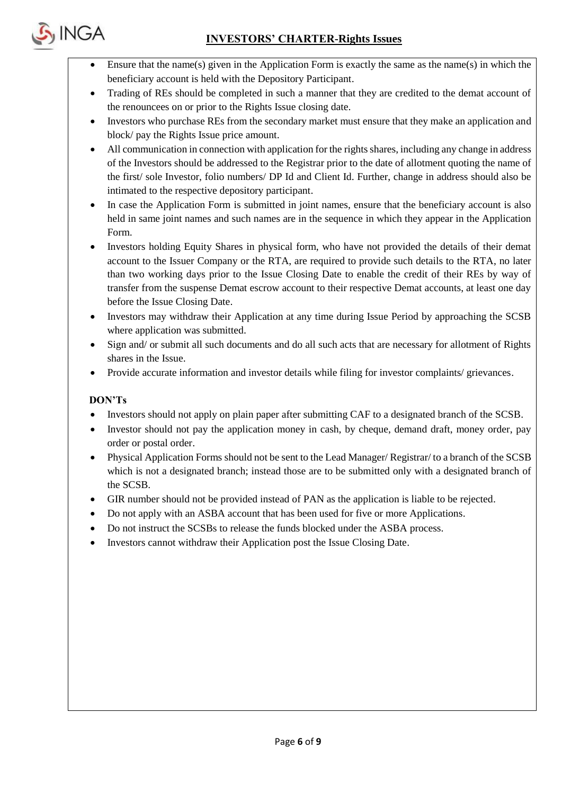

- Ensure that the name(s) given in the Application Form is exactly the same as the name(s) in which the beneficiary account is held with the Depository Participant.
- Trading of REs should be completed in such a manner that they are credited to the demat account of the renouncees on or prior to the Rights Issue closing date.
- Investors who purchase REs from the secondary market must ensure that they make an application and block/ pay the Rights Issue price amount.
- All communication in connection with application for the rights shares, including any change in address of the Investors should be addressed to the Registrar prior to the date of allotment quoting the name of the first/ sole Investor, folio numbers/ DP Id and Client Id. Further, change in address should also be intimated to the respective depository participant.
- In case the Application Form is submitted in joint names, ensure that the beneficiary account is also held in same joint names and such names are in the sequence in which they appear in the Application Form.
- Investors holding Equity Shares in physical form, who have not provided the details of their demat account to the Issuer Company or the RTA, are required to provide such details to the RTA, no later than two working days prior to the Issue Closing Date to enable the credit of their REs by way of transfer from the suspense Demat escrow account to their respective Demat accounts, at least one day before the Issue Closing Date.
- Investors may withdraw their Application at any time during Issue Period by approaching the SCSB where application was submitted.
- Sign and/ or submit all such documents and do all such acts that are necessary for allotment of Rights shares in the Issue.
- Provide accurate information and investor details while filing for investor complaints/ grievances.

### **DON'Ts**

- Investors should not apply on plain paper after submitting CAF to a designated branch of the SCSB.
- Investor should not pay the application money in cash, by cheque, demand draft, money order, pay order or postal order.
- Physical Application Forms should not be sent to the Lead Manager/ Registrar/ to a branch of the SCSB which is not a designated branch; instead those are to be submitted only with a designated branch of the SCSB.
- GIR number should not be provided instead of PAN as the application is liable to be rejected.
- Do not apply with an ASBA account that has been used for five or more Applications.
- Do not instruct the SCSBs to release the funds blocked under the ASBA process.
- Investors cannot withdraw their Application post the Issue Closing Date.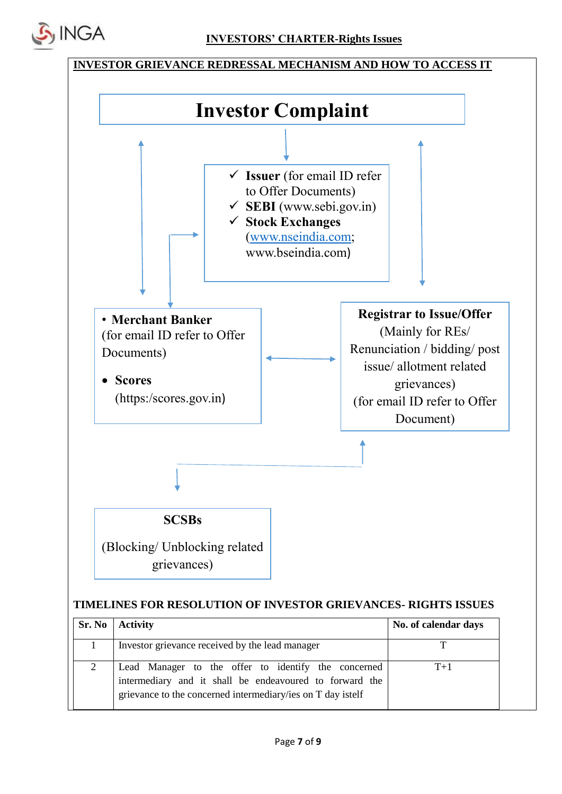



### **TIMELINES FOR RESOLUTION OF INVESTOR GRIEVANCES- RIGHTS ISSUES**

|   | $Sr. No$ Activity                                                                                                                                                             | No. of calendar days |
|---|-------------------------------------------------------------------------------------------------------------------------------------------------------------------------------|----------------------|
|   | Investor grievance received by the lead manager                                                                                                                               | ᅲ                    |
| 2 | Lead Manager to the offer to identify the concerned<br>intermediary and it shall be endeavoured to forward the<br>grievance to the concerned intermediary/ies on T day istelf | $T+1$                |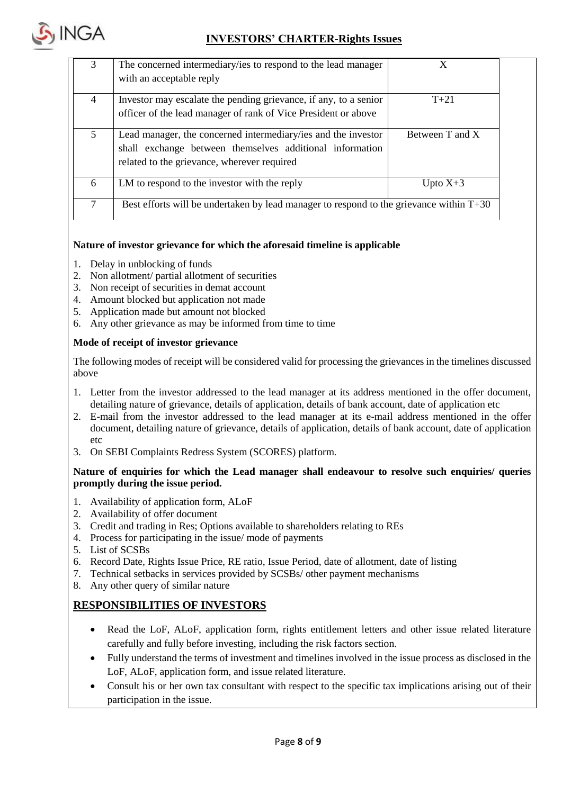

| 3              | The concerned intermediary/ies to respond to the lead manager                             |                 |
|----------------|-------------------------------------------------------------------------------------------|-----------------|
|                | with an acceptable reply                                                                  |                 |
| $\overline{4}$ | Investor may escalate the pending grievance, if any, to a senior                          | $T + 21$        |
|                | officer of the lead manager of rank of Vice President or above                            |                 |
| 5              | Lead manager, the concerned intermediary/ies and the investor                             | Between T and X |
|                | shall exchange between themselves additional information                                  |                 |
|                | related to the grievance, wherever required                                               |                 |
| 6              | LM to respond to the investor with the reply                                              | Upto $X+3$      |
|                | Best efforts will be undertaken by lead manager to respond to the grievance within $T+30$ |                 |

#### **Nature of investor grievance for which the aforesaid timeline is applicable**

- 1. Delay in unblocking of funds
- 2. Non allotment/ partial allotment of securities
- 3. Non receipt of securities in demat account
- 4. Amount blocked but application not made
- 5. Application made but amount not blocked
- 6. Any other grievance as may be informed from time to time

#### **Mode of receipt of investor grievance**

The following modes of receipt will be considered valid for processing the grievances in the timelines discussed above

- 1. Letter from the investor addressed to the lead manager at its address mentioned in the offer document, detailing nature of grievance, details of application, details of bank account, date of application etc
- 2. E-mail from the investor addressed to the lead manager at its e-mail address mentioned in the offer document, detailing nature of grievance, details of application, details of bank account, date of application etc
- 3. On SEBI Complaints Redress System (SCORES) platform.

#### **Nature of enquiries for which the Lead manager shall endeavour to resolve such enquiries/ queries promptly during the issue period.**

- 1. Availability of application form, ALoF
- 2. Availability of offer document
- 3. Credit and trading in Res; Options available to shareholders relating to REs
- 4. Process for participating in the issue/ mode of payments
- 5. List of SCSBs
- 6. Record Date, Rights Issue Price, RE ratio, Issue Period, date of allotment, date of listing
- 7. Technical setbacks in services provided by SCSBs/ other payment mechanisms
- 8. Any other query of similar nature

### **RESPONSIBILITIES OF INVESTORS**

- Read the LoF, ALoF, application form, rights entitlement letters and other issue related literature carefully and fully before investing, including the risk factors section.
- Fully understand the terms of investment and timelines involved in the issue process as disclosed in the LoF, ALoF, application form, and issue related literature.
- Consult his or her own tax consultant with respect to the specific tax implications arising out of their participation in the issue.